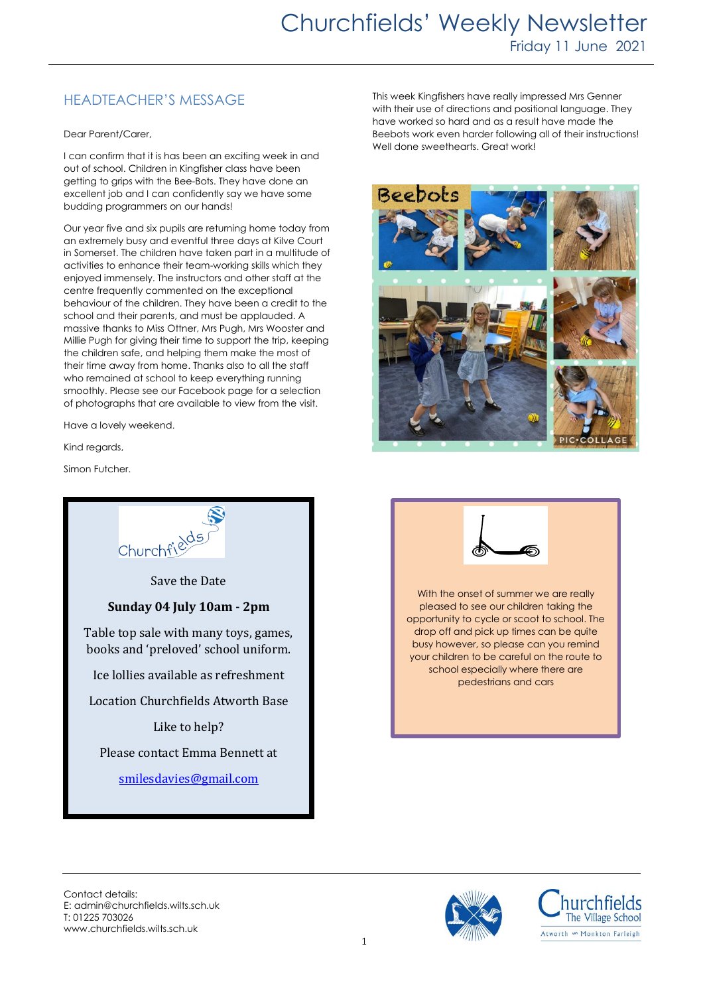## HEADTEACHER'S MESSAGE

Dear Parent/Carer,

I can confirm that it is has been an exciting week in and out of school. Children in Kingfisher class have been getting to grips with the Bee-Bots. They have done an excellent job and I can confidently say we have some budding programmers on our hands!

Our year five and six pupils are returning home today from an extremely busy and eventful three days at Kilve Court in Somerset. The children have taken part in a multitude of activities to enhance their team-working skills which they enjoyed immensely. The instructors and other staff at the centre frequently commented on the exceptional behaviour of the children. They have been a credit to the school and their parents, and must be applauded. A massive thanks to Miss Ottner, Mrs Pugh, Mrs Wooster and Millie Pugh for giving their time to support the trip, keeping the children safe, and helping them make the most of their time away from home. Thanks also to all the staff who remained at school to keep everything running smoothly. Please see our Facebook page for a selection of photographs that are available to view from the visit.

Have a lovely weekend.

Kind regards,

Simon Futcher.



This week Kingfishers have really impressed Mrs Genner with their use of directions and positional language. They have worked so hard and as a result have made the Beebots work even harder following all of their instructions! Well done sweethearts. Great work!





With the onset of summer we are really pleased to see our children taking the opportunity to cycle or scoot to school. The drop off and pick up times can be quite busy however, so please can you remind your children to be careful on the route to school especially where there are pedestrians and cars

Contact details: E: admin@churchfields.wilts.sch.uk T: 01225 703026 www.churchfields.wilts.sch.uk



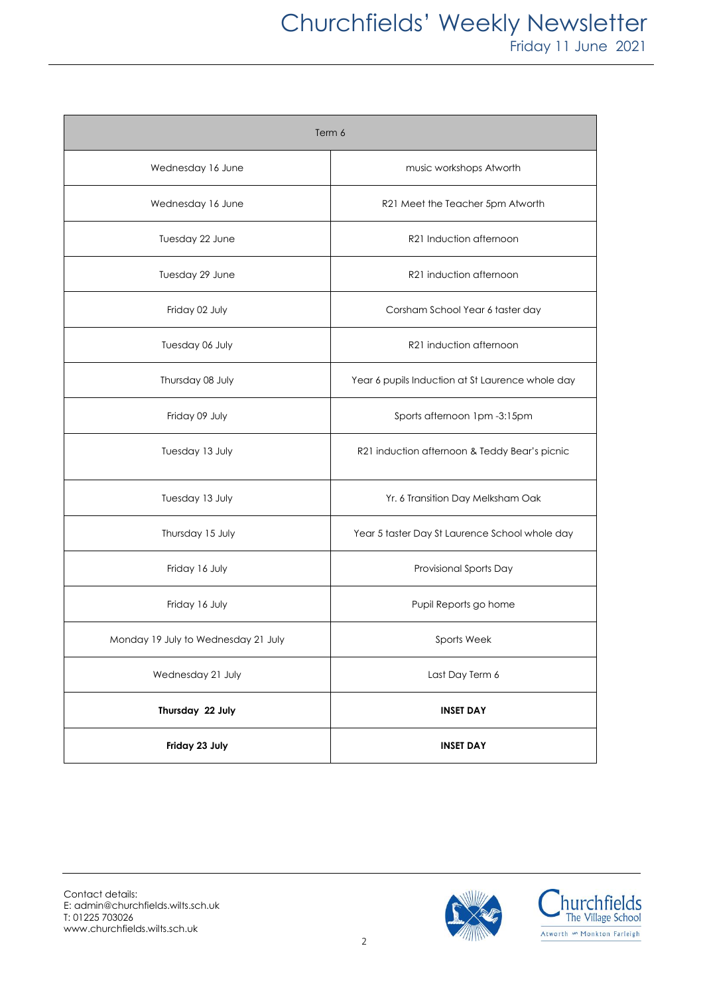## Churchfields' Weekly Newsletter Friday 11 June 2021

| Term 6                              |                                                  |
|-------------------------------------|--------------------------------------------------|
| Wednesday 16 June                   | music workshops Atworth                          |
| Wednesday 16 June                   | R21 Meet the Teacher 5pm Atworth                 |
| Tuesday 22 June                     | R21 Induction afternoon                          |
| Tuesday 29 June                     | R21 induction afternoon                          |
| Friday 02 July                      | Corsham School Year 6 taster day                 |
| Tuesday 06 July                     | R21 induction afternoon                          |
| Thursday 08 July                    | Year 6 pupils Induction at St Laurence whole day |
| Friday 09 July                      | Sports afternoon 1pm -3:15pm                     |
| Tuesday 13 July                     | R21 induction afternoon & Teddy Bear's picnic    |
| Tuesday 13 July                     | Yr. 6 Transition Day Melksham Oak                |
| Thursday 15 July                    | Year 5 taster Day St Laurence School whole day   |
| Friday 16 July                      | Provisional Sports Day                           |
| Friday 16 July                      | Pupil Reports go home                            |
| Monday 19 July to Wednesday 21 July | Sports Week                                      |
| Wednesday 21 July                   | Last Day Term 6                                  |
| Thursday 22 July                    | <b>INSET DAY</b>                                 |
| Friday 23 July                      | <b>INSET DAY</b>                                 |